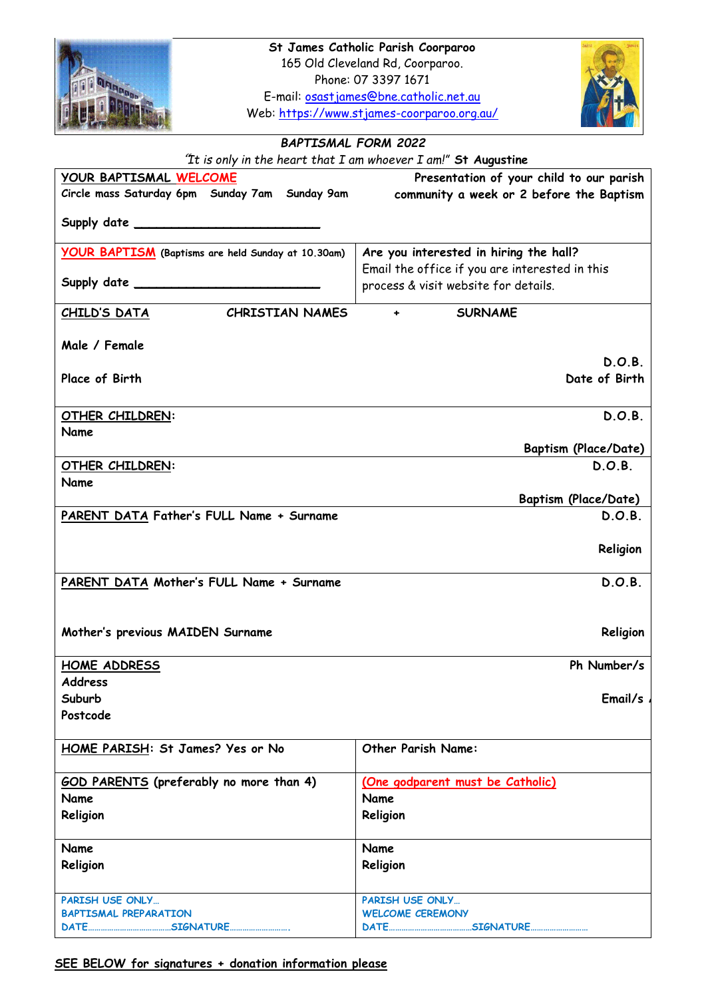

Web:<https://www.stjames-coorparoo.org.au/>



## *BAPTISMAL FORM 2022*

 *"It is only in the heart that I am whoever I am!"* **St Augustine YOUR BAPTISMAL WELCOME Circle mass Saturday 6pm Sunday 7am Sunday 9am Supply date \_\_\_\_\_\_\_\_\_\_\_\_\_\_\_\_\_\_\_\_\_\_\_\_\_ Presentation of your child to our parish community a week or 2 before the Baptism YOUR BAPTISM (Baptisms are held Sunday at 10.30am) Supply date \_\_\_\_\_\_\_\_\_\_\_\_\_\_\_\_\_\_\_\_\_\_\_\_\_ Are you interested in hiring the hall?**  Email the office if you are interested in this process & visit website for details. **CHILD'S DATA CHRISTIAN NAMES Male / Female SURNAME Place of Birth D.O.B. Date of Birth OTHER CHILDREN: Name D.O.B. Baptism (Place/Date) OTHER CHILDREN: D.O.B. Name Baptism (Place/Date) PARENT DATA Father's FULL Name + Surname D.O.B. Religion PARENT DATA Mother's FULL Name + Surname Mother's previous MAIDEN Surname D.O.B. Religion HOME ADDRESS Address Suburb Postcode Ph Number/s Email/s HOME PARISH: St James? Yes or No Other Parish Name: GOD PARENTS (preferably no more than 4) Name Religion (One godparent must be Catholic) Name Religion Name Religion Name Religion PARISH USE ONLY… BAPTISMAL PREPARATION DATE…………………………………SIGNATURE………………………. PARISH USE ONLY… WELCOME CEREMONY DATE…………………………………SIGNATURE………………………**

**SEE BELOW for signatures + donation information please**